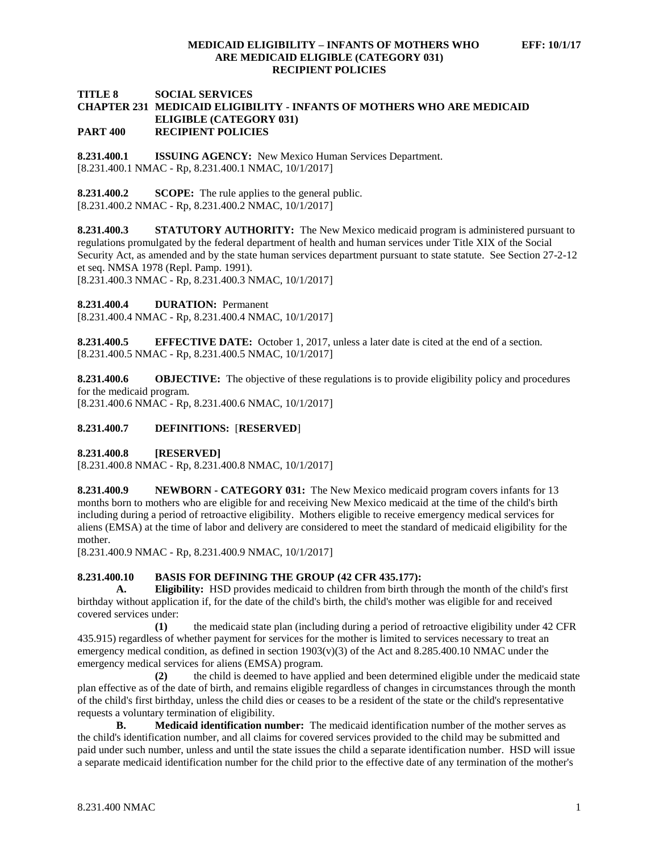## **MEDICAID ELIGIBILITY – INFANTS OF MOTHERS WHO EFF: 10/1/17 ARE MEDICAID ELIGIBLE (CATEGORY 031) RECIPIENT POLICIES**

### **TITLE 8 SOCIAL SERVICES CHAPTER 231 MEDICAID ELIGIBILITY - INFANTS OF MOTHERS WHO ARE MEDICAID ELIGIBLE (CATEGORY 031) PART 400 RECIPIENT POLICIES**

**8.231.400.1 ISSUING AGENCY:** New Mexico Human Services Department. [8.231.400.1 NMAC - Rp, 8.231.400.1 NMAC, 10/1/2017]

**8.231.400.2 SCOPE:** The rule applies to the general public. [8.231.400.2 NMAC - Rp, 8.231.400.2 NMAC, 10/1/2017]

**8.231.400.3 STATUTORY AUTHORITY:** The New Mexico medicaid program is administered pursuant to regulations promulgated by the federal department of health and human services under Title XIX of the Social Security Act, as amended and by the state human services department pursuant to state statute. See Section 27-2-12 et seq. NMSA 1978 (Repl. Pamp. 1991). [8.231.400.3 NMAC - Rp, 8.231.400.3 NMAC, 10/1/2017]

**8.231.400.4 DURATION:** Permanent

[8.231.400.4 NMAC - Rp, 8.231.400.4 NMAC, 10/1/2017]

**8.231.400.5 EFFECTIVE DATE:** October 1, 2017, unless a later date is cited at the end of a section. [8.231.400.5 NMAC - Rp, 8.231.400.5 NMAC, 10/1/2017]

**8.231.400.6 OBJECTIVE:** The objective of these regulations is to provide eligibility policy and procedures for the medicaid program.

[8.231.400.6 NMAC - Rp, 8.231.400.6 NMAC, 10/1/2017]

### **8.231.400.7 DEFINITIONS:** [**RESERVED**]

**8.231.400.8 [RESERVED]**

[8.231.400.8 NMAC - Rp, 8.231.400.8 NMAC, 10/1/2017]

**8.231.400.9 NEWBORN - CATEGORY 031:** The New Mexico medicaid program covers infants for 13 months born to mothers who are eligible for and receiving New Mexico medicaid at the time of the child's birth including during a period of retroactive eligibility. Mothers eligible to receive emergency medical services for aliens (EMSA) at the time of labor and delivery are considered to meet the standard of medicaid eligibility for the mother.

[8.231.400.9 NMAC - Rp, 8.231.400.9 NMAC, 10/1/2017]

# **8.231.400.10 BASIS FOR DEFINING THE GROUP (42 CFR 435.177):**

**A. Eligibility:** HSD provides medicaid to children from birth through the month of the child's first birthday without application if, for the date of the child's birth, the child's mother was eligible for and received covered services under:

**(1)** the medicaid state plan (including during a period of retroactive eligibility under 42 CFR 435.915) regardless of whether payment for services for the mother is limited to services necessary to treat an emergency medical condition, as defined in section  $1903(v)(3)$  of the Act and 8.285.400.10 NMAC under the emergency medical services for aliens (EMSA) program.

**(2)** the child is deemed to have applied and been determined eligible under the medicaid state plan effective as of the date of birth, and remains eligible regardless of changes in circumstances through the month of the child's first birthday, unless the child dies or ceases to be a resident of the state or the child's representative requests a voluntary termination of eligibility.

**B. Medicaid identification number:** The medicaid identification number of the mother serves as the child's identification number, and all claims for covered services provided to the child may be submitted and paid under such number, unless and until the state issues the child a separate identification number. HSD will issue a separate medicaid identification number for the child prior to the effective date of any termination of the mother's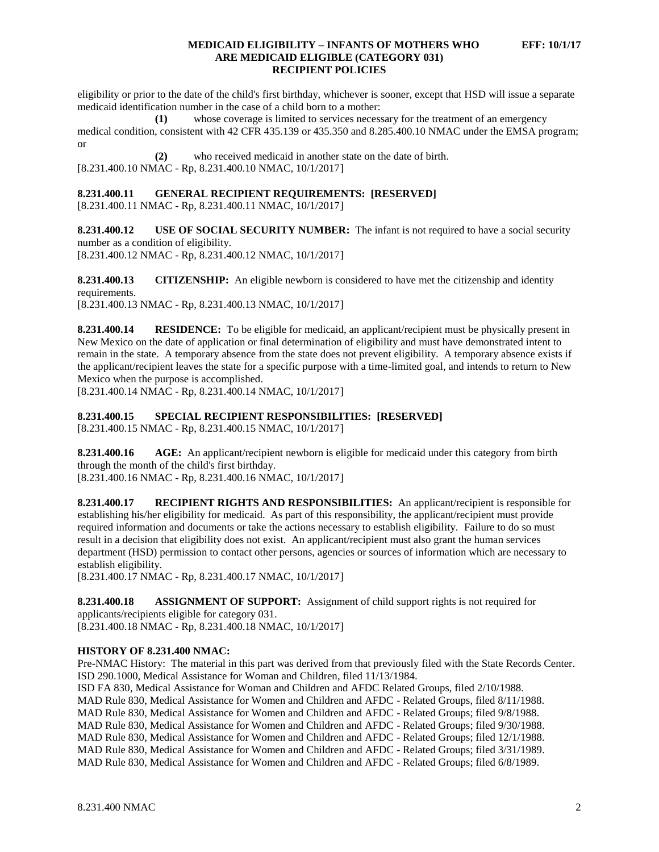### **MEDICAID ELIGIBILITY – INFANTS OF MOTHERS WHO EFF: 10/1/17 ARE MEDICAID ELIGIBLE (CATEGORY 031) RECIPIENT POLICIES**

eligibility or prior to the date of the child's first birthday, whichever is sooner, except that HSD will issue a separate medicaid identification number in the case of a child born to a mother:

**(1)** whose coverage is limited to services necessary for the treatment of an emergency medical condition, consistent with 42 CFR 435.139 or 435.350 and 8.285.400.10 NMAC under the EMSA program; or

**(2)** who received medicaid in another state on the date of birth. [8.231.400.10 NMAC - Rp, 8.231.400.10 NMAC, 10/1/2017]

# **8.231.400.11 GENERAL RECIPIENT REQUIREMENTS: [RESERVED]**

[8.231.400.11 NMAC - Rp, 8.231.400.11 NMAC, 10/1/2017]

**8.231.400.12 USE OF SOCIAL SECURITY NUMBER:** The infant is not required to have a social security number as a condition of eligibility.

[8.231.400.12 NMAC - Rp, 8.231.400.12 NMAC, 10/1/2017]

**8.231.400.13 CITIZENSHIP:** An eligible newborn is considered to have met the citizenship and identity requirements.

[8.231.400.13 NMAC - Rp, 8.231.400.13 NMAC, 10/1/2017]

**8.231.400.14 RESIDENCE:** To be eligible for medicaid, an applicant/recipient must be physically present in New Mexico on the date of application or final determination of eligibility and must have demonstrated intent to remain in the state. A temporary absence from the state does not prevent eligibility. A temporary absence exists if the applicant/recipient leaves the state for a specific purpose with a time-limited goal, and intends to return to New Mexico when the purpose is accomplished.

[8.231.400.14 NMAC - Rp, 8.231.400.14 NMAC, 10/1/2017]

#### **8.231.400.15 SPECIAL RECIPIENT RESPONSIBILITIES: [RESERVED]**

[8.231.400.15 NMAC - Rp, 8.231.400.15 NMAC, 10/1/2017]

**8.231.400.16 AGE:** An applicant/recipient newborn is eligible for medicaid under this category from birth through the month of the child's first birthday. [8.231.400.16 NMAC - Rp, 8.231.400.16 NMAC, 10/1/2017]

**8.231.400.17 RECIPIENT RIGHTS AND RESPONSIBILITIES:** An applicant/recipient is responsible for establishing his/her eligibility for medicaid. As part of this responsibility, the applicant/recipient must provide required information and documents or take the actions necessary to establish eligibility. Failure to do so must result in a decision that eligibility does not exist. An applicant/recipient must also grant the human services department (HSD) permission to contact other persons, agencies or sources of information which are necessary to establish eligibility.

[8.231.400.17 NMAC - Rp, 8.231.400.17 NMAC, 10/1/2017]

**8.231.400.18 ASSIGNMENT OF SUPPORT:** Assignment of child support rights is not required for applicants/recipients eligible for category 031. [8.231.400.18 NMAC - Rp, 8.231.400.18 NMAC, 10/1/2017]

#### **HISTORY OF 8.231.400 NMAC:**

Pre-NMAC History: The material in this part was derived from that previously filed with the State Records Center. ISD 290.1000, Medical Assistance for Woman and Children, filed 11/13/1984. ISD FA 830, Medical Assistance for Woman and Children and AFDC Related Groups, filed 2/10/1988. MAD Rule 830, Medical Assistance for Women and Children and AFDC - Related Groups, filed 8/11/1988. MAD Rule 830, Medical Assistance for Women and Children and AFDC - Related Groups; filed 9/8/1988. MAD Rule 830, Medical Assistance for Women and Children and AFDC - Related Groups; filed 9/30/1988. MAD Rule 830, Medical Assistance for Women and Children and AFDC - Related Groups; filed 12/1/1988. MAD Rule 830, Medical Assistance for Women and Children and AFDC - Related Groups; filed 3/31/1989. MAD Rule 830, Medical Assistance for Women and Children and AFDC - Related Groups; filed 6/8/1989.